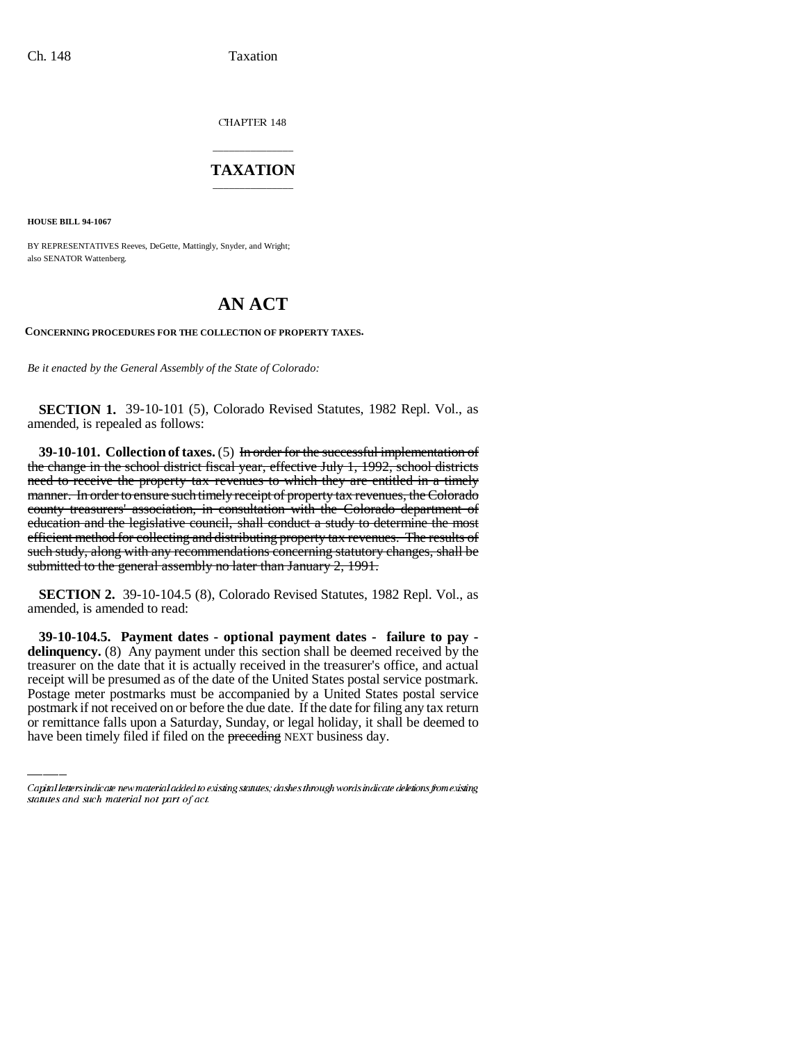CHAPTER 148

## \_\_\_\_\_\_\_\_\_\_\_\_\_\_\_ **TAXATION** \_\_\_\_\_\_\_\_\_\_\_\_\_\_\_

**HOUSE BILL 94-1067**

BY REPRESENTATIVES Reeves, DeGette, Mattingly, Snyder, and Wright; also SENATOR Wattenberg.

## **AN ACT**

**CONCERNING PROCEDURES FOR THE COLLECTION OF PROPERTY TAXES.**

*Be it enacted by the General Assembly of the State of Colorado:*

**SECTION 1.** 39-10-101 (5), Colorado Revised Statutes, 1982 Repl. Vol., as amended, is repealed as follows:

**39-10-101. Collection of taxes.** (5) In order for the successful implementation of the change in the school district fiscal year, effective July 1, 1992, school districts need to receive the property tax revenues to which they are entitled in a timely manner. In order to ensure such timely receipt of property tax revenues, the Colorado county treasurers' association, in consultation with the Colorado department of education and the legislative council, shall conduct a study to determine the most efficient method for collecting and distributing property tax revenues. The results of such study, along with any recommendations concerning statutory changes, shall be submitted to the general assembly no later than January 2, 1991.

**SECTION 2.** 39-10-104.5 (8), Colorado Revised Statutes, 1982 Repl. Vol., as amended, is amended to read:

receipt will be presumed as of the date of the United States postal service postmark. **39-10-104.5. Payment dates - optional payment dates - failure to pay delinquency.** (8) Any payment under this section shall be deemed received by the treasurer on the date that it is actually received in the treasurer's office, and actual Postage meter postmarks must be accompanied by a United States postal service postmark if not received on or before the due date. If the date for filing any tax return or remittance falls upon a Saturday, Sunday, or legal holiday, it shall be deemed to have been timely filed if filed on the preceding NEXT business day.

Capital letters indicate new material added to existing statutes; dashes through words indicate deletions from existing statutes and such material not part of act.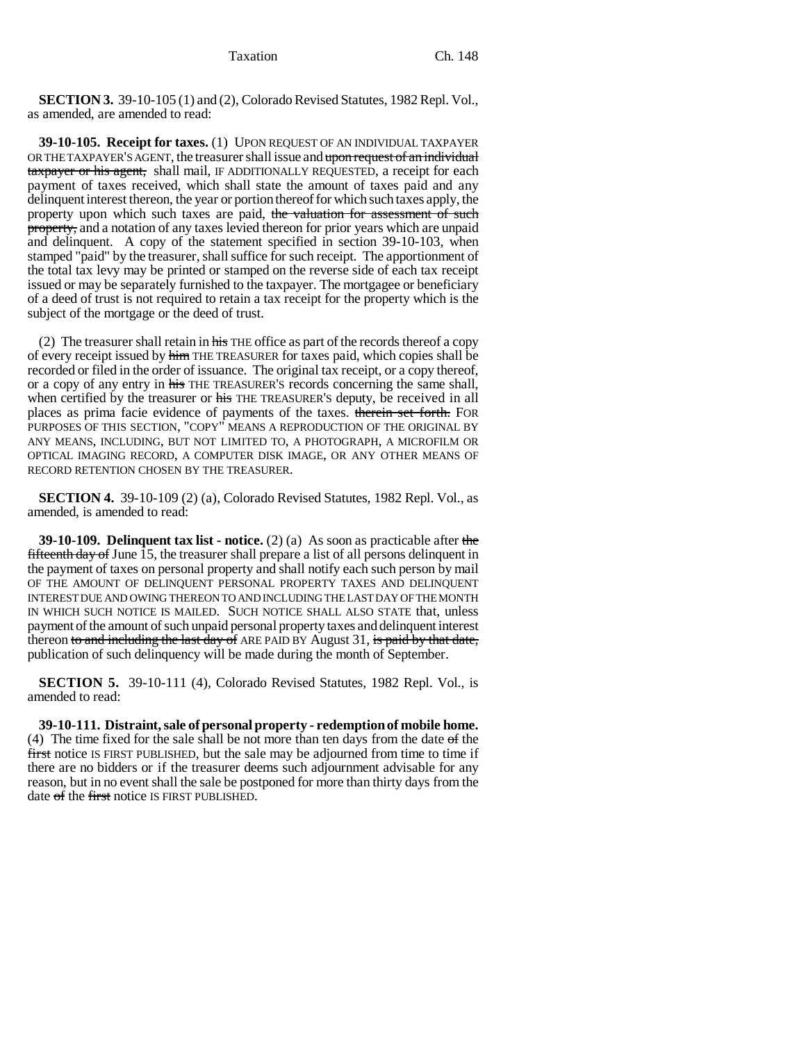**SECTION 3.** 39-10-105 (1) and (2), Colorado Revised Statutes, 1982 Repl. Vol., as amended, are amended to read:

**39-10-105. Receipt for taxes.** (1) UPON REQUEST OF AN INDIVIDUAL TAXPAYER OR THE TAXPAYER'S AGENT, the treasurer shall issue and upon request of an individual taxpayer or his agent, shall mail, IF ADDITIONALLY REQUESTED, a receipt for each payment of taxes received, which shall state the amount of taxes paid and any delinquent interest thereon, the year or portion thereof for which such taxes apply, the property upon which such taxes are paid, the valuation for assessment of such property, and a notation of any taxes levied thereon for prior years which are unpaid and delinquent. A copy of the statement specified in section 39-10-103, when stamped "paid" by the treasurer, shall suffice for such receipt. The apportionment of the total tax levy may be printed or stamped on the reverse side of each tax receipt issued or may be separately furnished to the taxpayer. The mortgagee or beneficiary of a deed of trust is not required to retain a tax receipt for the property which is the subject of the mortgage or the deed of trust.

(2) The treasurer shall retain in  $\frac{1}{n+1}$  THE office as part of the records thereof a copy of every receipt issued by him THE TREASURER for taxes paid, which copies shall be recorded or filed in the order of issuance. The original tax receipt, or a copy thereof, or a copy of any entry in his THE TREASURER'S records concerning the same shall, when certified by the treasurer or his THE TREASURER's deputy, be received in all places as prima facie evidence of payments of the taxes. therein set forth. FOR PURPOSES OF THIS SECTION, "COPY" MEANS A REPRODUCTION OF THE ORIGINAL BY ANY MEANS, INCLUDING, BUT NOT LIMITED TO, A PHOTOGRAPH, A MICROFILM OR OPTICAL IMAGING RECORD, A COMPUTER DISK IMAGE, OR ANY OTHER MEANS OF RECORD RETENTION CHOSEN BY THE TREASURER.

**SECTION 4.** 39-10-109 (2) (a), Colorado Revised Statutes, 1982 Repl. Vol., as amended, is amended to read:

**39-10-109. Delinquent tax list - notice.** (2) (a) As soon as practicable after the **fifteenth day of June 15, the treasurer shall prepare a list of all persons delinquent in** the payment of taxes on personal property and shall notify each such person by mail OF THE AMOUNT OF DELINQUENT PERSONAL PROPERTY TAXES AND DELINQUENT INTEREST DUE AND OWING THEREON TO AND INCLUDING THE LAST DAY OF THE MONTH IN WHICH SUCH NOTICE IS MAILED. SUCH NOTICE SHALL ALSO STATE that, unless payment of the amount of such unpaid personal property taxes and delinquent interest thereon to and including the last day of ARE PAID BY August 31, is paid by that date, publication of such delinquency will be made during the month of September.

**SECTION 5.** 39-10-111 (4), Colorado Revised Statutes, 1982 Repl. Vol., is amended to read:

**39-10-111. Distraint, sale of personal property - redemption of mobile home.** (4) The time fixed for the sale shall be not more than ten days from the date  $\sigma$  f the first notice IS FIRST PUBLISHED, but the sale may be adjourned from time to time if there are no bidders or if the treasurer deems such adjournment advisable for any reason, but in no event shall the sale be postponed for more than thirty days from the date of the first notice IS FIRST PUBLISHED.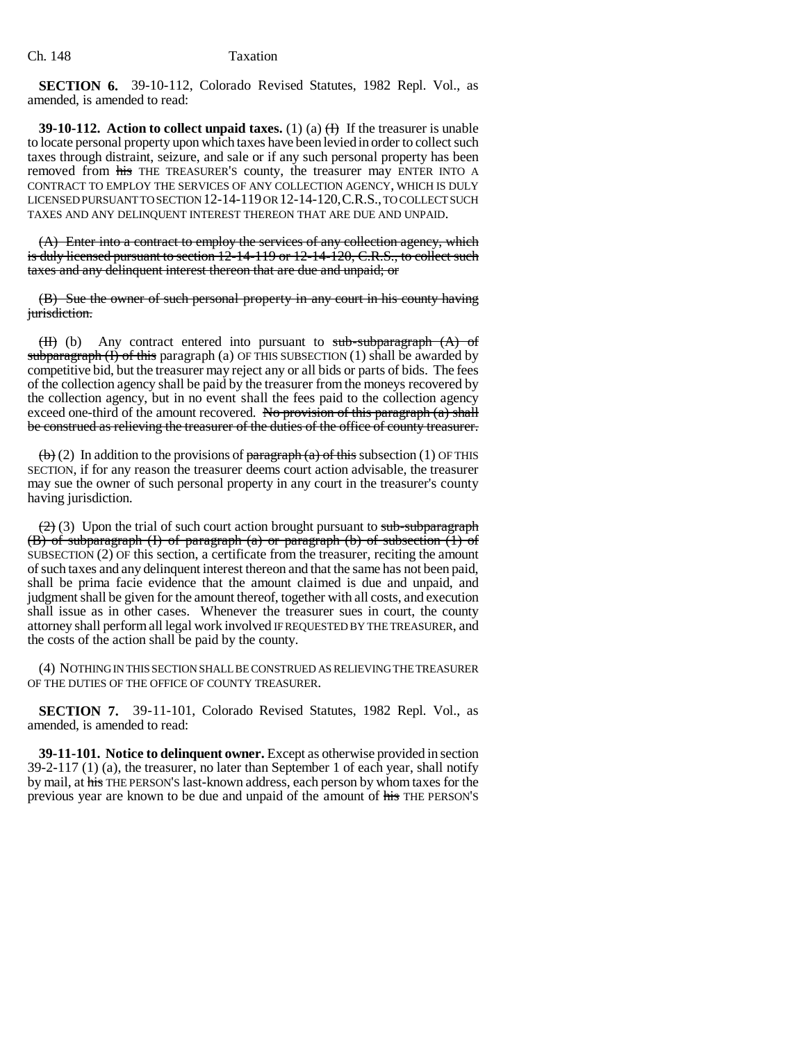**SECTION 6.** 39-10-112, Colorado Revised Statutes, 1982 Repl. Vol., as amended, is amended to read:

**39-10-112.** Action to collect unpaid taxes. (1) (a)  $\oplus$  If the treasurer is unable to locate personal property upon which taxes have been levied in order to collect such taxes through distraint, seizure, and sale or if any such personal property has been removed from his THE TREASURER'S county, the treasurer may ENTER INTO A CONTRACT TO EMPLOY THE SERVICES OF ANY COLLECTION AGENCY, WHICH IS DULY LICENSED PURSUANT TO SECTION 12-14-119 OR 12-14-120,C.R.S., TO COLLECT SUCH TAXES AND ANY DELINQUENT INTEREST THEREON THAT ARE DUE AND UNPAID.

(A) Enter into a contract to employ the services of any collection agency, which is duly licensed pursuant to section 12-14-119 or 12-14-120, C.R.S., to collect such taxes and any delinquent interest thereon that are due and unpaid; or

(B) Sue the owner of such personal property in any court in his county having jurisdiction.

(H) (b) Any contract entered into pursuant to sub-subparagraph (A) of subparagraph  $(I)$  of this paragraph (a) OF THIS SUBSECTION  $(I)$  shall be awarded by competitive bid, but the treasurer may reject any or all bids or parts of bids. The fees of the collection agency shall be paid by the treasurer from the moneys recovered by the collection agency, but in no event shall the fees paid to the collection agency exceed one-third of the amount recovered. No provision of this paragraph  $(a)$  shall be construed as relieving the treasurer of the duties of the office of county treasurer.

 $\left(\frac{b}{c}\right)$  (2) In addition to the provisions of paragraph (a) of this subsection (1) OF THIS SECTION, if for any reason the treasurer deems court action advisable, the treasurer may sue the owner of such personal property in any court in the treasurer's county having jurisdiction.

 $(2)$  (3) Upon the trial of such court action brought pursuant to sub-subparagraph (B) of subparagraph (I) of paragraph (a) or paragraph (b) of subsection (1) of SUBSECTION (2) OF this section, a certificate from the treasurer, reciting the amount of such taxes and any delinquent interest thereon and that the same has not been paid, shall be prima facie evidence that the amount claimed is due and unpaid, and judgment shall be given for the amount thereof, together with all costs, and execution shall issue as in other cases. Whenever the treasurer sues in court, the county attorney shall perform all legal work involved IF REQUESTED BY THE TREASURER, and the costs of the action shall be paid by the county.

(4) NOTHING IN THIS SECTION SHALL BE CONSTRUED AS RELIEVING THE TREASURER OF THE DUTIES OF THE OFFICE OF COUNTY TREASURER.

**SECTION 7.** 39-11-101, Colorado Revised Statutes, 1982 Repl. Vol., as amended, is amended to read:

**39-11-101. Notice to delinquent owner.** Except as otherwise provided in section 39-2-117 (1) (a), the treasurer, no later than September 1 of each year, shall notify by mail, at his THE PERSON'S last-known address, each person by whom taxes for the previous year are known to be due and unpaid of the amount of his THE PERSON'S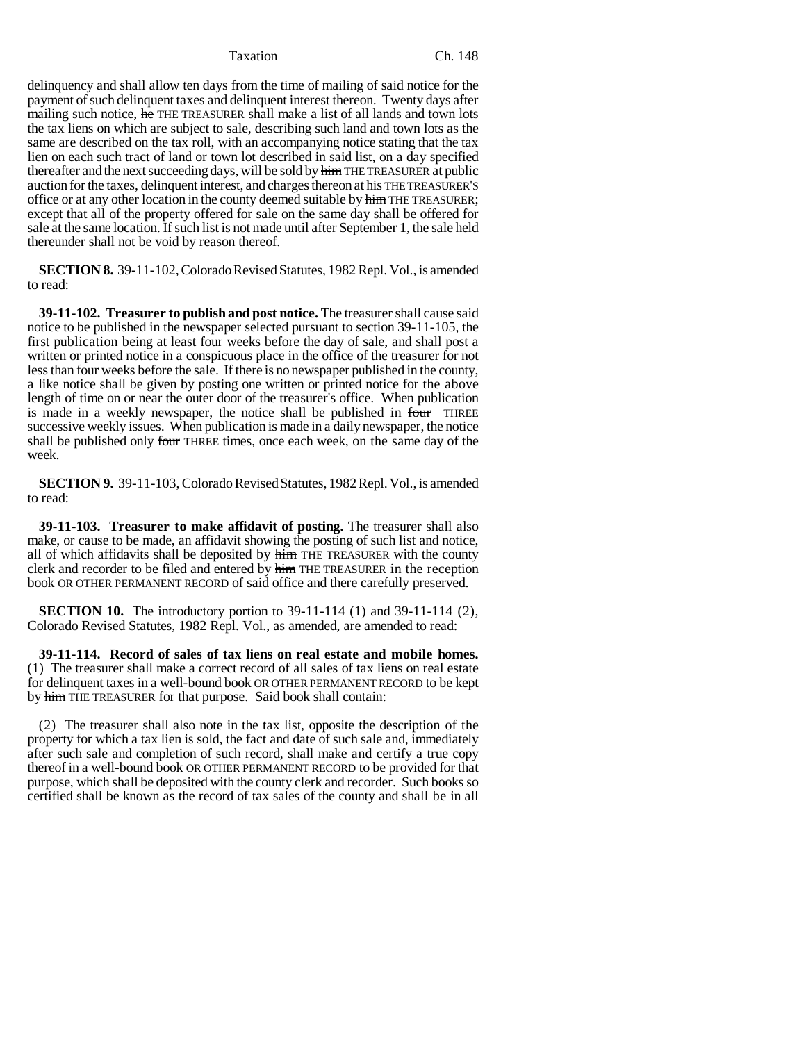Taxation Ch. 148

delinquency and shall allow ten days from the time of mailing of said notice for the payment of such delinquent taxes and delinquent interest thereon. Twenty days after mailing such notice, he THE TREASURER shall make a list of all lands and town lots the tax liens on which are subject to sale, describing such land and town lots as the same are described on the tax roll, with an accompanying notice stating that the tax lien on each such tract of land or town lot described in said list, on a day specified thereafter and the next succeeding days, will be sold by him THE TREASURER at public auction for the taxes, delinquent interest, and charges thereon at his THE TREASURER'S office or at any other location in the county deemed suitable by him THE TREASURER; except that all of the property offered for sale on the same day shall be offered for sale at the same location. If such list is not made until after September 1, the sale held thereunder shall not be void by reason thereof.

**SECTION 8.** 39-11-102, Colorado Revised Statutes, 1982 Repl. Vol., is amended to read:

**39-11-102. Treasurer to publish and post notice.** The treasurer shall cause said notice to be published in the newspaper selected pursuant to section 39-11-105, the first publication being at least four weeks before the day of sale, and shall post a written or printed notice in a conspicuous place in the office of the treasurer for not less than four weeks before the sale. If there is no newspaper published in the county, a like notice shall be given by posting one written or printed notice for the above length of time on or near the outer door of the treasurer's office. When publication is made in a weekly newspaper, the notice shall be published in four THREE successive weekly issues. When publication is made in a daily newspaper, the notice shall be published only four THREE times, once each week, on the same day of the week.

**SECTION 9.** 39-11-103, Colorado Revised Statutes, 1982 Repl. Vol., is amended to read:

**39-11-103. Treasurer to make affidavit of posting.** The treasurer shall also make, or cause to be made, an affidavit showing the posting of such list and notice, all of which affidavits shall be deposited by him THE TREASURER with the county clerk and recorder to be filed and entered by him THE TREASURER in the reception book OR OTHER PERMANENT RECORD of said office and there carefully preserved.

**SECTION 10.** The introductory portion to 39-11-114 (1) and 39-11-114 (2), Colorado Revised Statutes, 1982 Repl. Vol., as amended, are amended to read:

**39-11-114. Record of sales of tax liens on real estate and mobile homes.** (1) The treasurer shall make a correct record of all sales of tax liens on real estate for delinquent taxes in a well-bound book OR OTHER PERMANENT RECORD to be kept by him THE TREASURER for that purpose. Said book shall contain:

(2) The treasurer shall also note in the tax list, opposite the description of the property for which a tax lien is sold, the fact and date of such sale and, immediately after such sale and completion of such record, shall make and certify a true copy thereof in a well-bound book OR OTHER PERMANENT RECORD to be provided for that purpose, which shall be deposited with the county clerk and recorder. Such books so certified shall be known as the record of tax sales of the county and shall be in all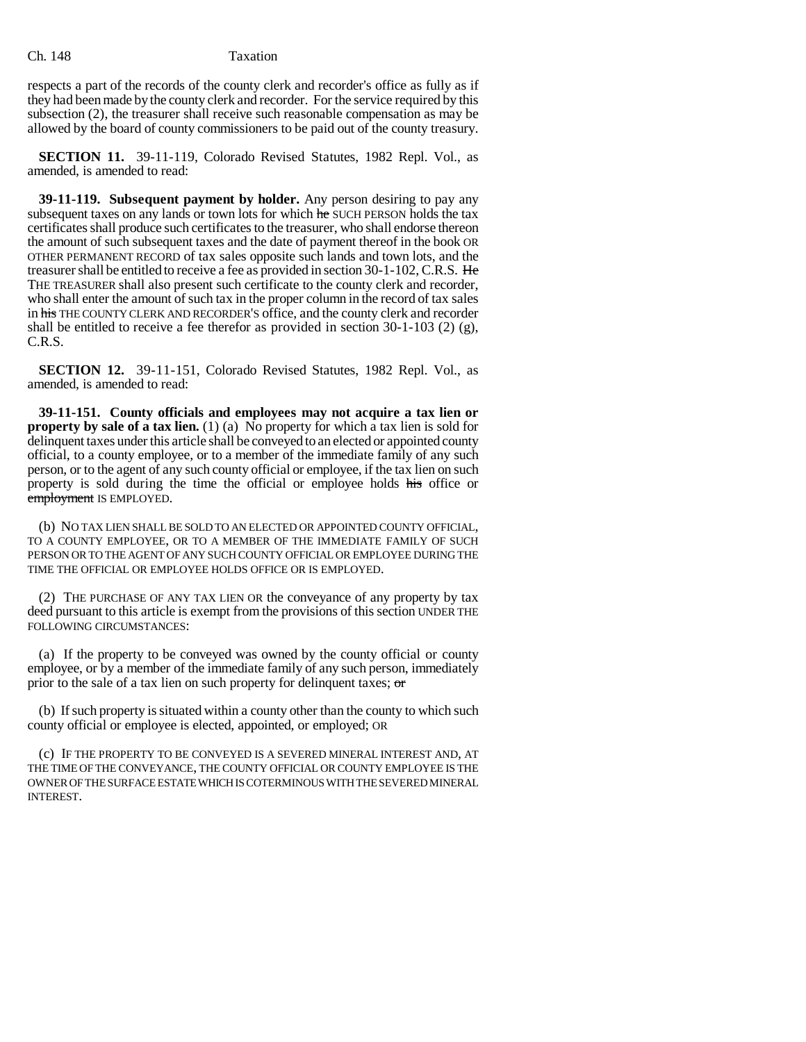## Ch. 148 Taxation

respects a part of the records of the county clerk and recorder's office as fully as if they had been made by the county clerk and recorder. For the service required by this subsection (2), the treasurer shall receive such reasonable compensation as may be allowed by the board of county commissioners to be paid out of the county treasury.

**SECTION 11.** 39-11-119, Colorado Revised Statutes, 1982 Repl. Vol., as amended, is amended to read:

**39-11-119. Subsequent payment by holder.** Any person desiring to pay any subsequent taxes on any lands or town lots for which he SUCH PERSON holds the tax certificates shall produce such certificates to the treasurer, who shall endorse thereon the amount of such subsequent taxes and the date of payment thereof in the book OR OTHER PERMANENT RECORD of tax sales opposite such lands and town lots, and the treasurer shall be entitled to receive a fee as provided in section 30-1-102, C.R.S. He THE TREASURER shall also present such certificate to the county clerk and recorder, who shall enter the amount of such tax in the proper column in the record of tax sales in his THE COUNTY CLERK AND RECORDER'S office, and the county clerk and recorder shall be entitled to receive a fee therefor as provided in section 30-1-103 (2) (g), C.R.S.

**SECTION 12.** 39-11-151, Colorado Revised Statutes, 1982 Repl. Vol., as amended, is amended to read:

**39-11-151. County officials and employees may not acquire a tax lien or property by sale of a tax lien.** (1) (a) No property for which a tax lien is sold for delinquent taxes under this article shall be conveyed to an elected or appointed county official, to a county employee, or to a member of the immediate family of any such person, or to the agent of any such county official or employee, if the tax lien on such property is sold during the time the official or employee holds his office or employment IS EMPLOYED.

(b) NO TAX LIEN SHALL BE SOLD TO AN ELECTED OR APPOINTED COUNTY OFFICIAL, TO A COUNTY EMPLOYEE, OR TO A MEMBER OF THE IMMEDIATE FAMILY OF SUCH PERSON OR TO THE AGENT OF ANY SUCH COUNTY OFFICIAL OR EMPLOYEE DURING THE TIME THE OFFICIAL OR EMPLOYEE HOLDS OFFICE OR IS EMPLOYED.

(2) THE PURCHASE OF ANY TAX LIEN OR the conveyance of any property by tax deed pursuant to this article is exempt from the provisions of this section UNDER THE FOLLOWING CIRCUMSTANCES:

(a) If the property to be conveyed was owned by the county official or county employee, or by a member of the immediate family of any such person, immediately prior to the sale of a tax lien on such property for delinquent taxes; or

(b) If such property is situated within a county other than the county to which such county official or employee is elected, appointed, or employed; OR

(c) IF THE PROPERTY TO BE CONVEYED IS A SEVERED MINERAL INTEREST AND, AT THE TIME OF THE CONVEYANCE, THE COUNTY OFFICIAL OR COUNTY EMPLOYEE IS THE OWNER OF THE SURFACE ESTATE WHICH IS COTERMINOUS WITH THE SEVERED MINERAL INTEREST.